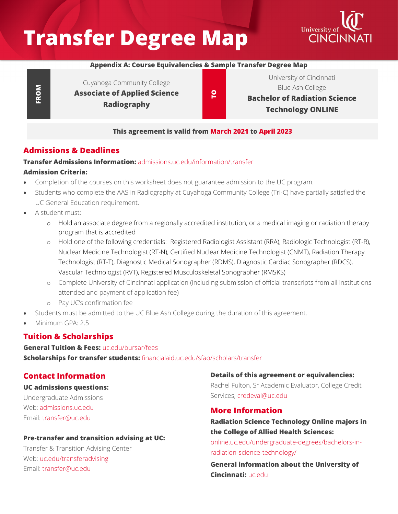# **Transfer Degree Map**



## **Appendix A: Course Equivalencies & Sample Transfer Degree Map**

**FROM**

Cuyahoga Community College **Associate of Applied Science Radiography**

**TO**

University of Cincinnati Blue Ash College **Bachelor of Radiation Science Technology ONLINE**

#### **This agreement is valid from March 2021 to April 2023**

## **Admissions & Deadlines**

#### **Transfer Admissions Information:** [admissions.uc.edu/information/transfer](https://admissions.uc.edu/information/transfer.html) **Admission Criteria:**

- Completion of the courses on this worksheet does not guarantee admission to the UC program.
- Students who complete the AAS in Radiography at Cuyahoga Community College (Tri-C) have partially satisfied the UC General Education requirement.
- A student must:
	- o Hold an associate degree from a regionally accredited institution, or a medical imaging or radiation therapy program that is accredited
	- o Hold one of the following credentials: Registered Radiologist Assistant (RRA), Radiologic Technologist (RT-R), Nuclear Medicine Technologist (RT-N), Certified Nuclear Medicine Technologist (CNMT), Radiation Therapy Technologist (RT-T), Diagnostic Medical Sonographer (RDMS), Diagnostic Cardiac Sonographer (RDCS), Vascular Technologist (RVT), Registered Musculoskeletal Sonographer (RMSKS)
	- o Complete University of Cincinnati application (including submission of official transcripts from all institutions attended and payment of application fee)
	- o Pay UC's confirmation fee
- Students must be admitted to the UC Blue Ash College during the duration of this agreement.
- Minimum GPA: 2.5

# **Tuition & Scholarships**

**General Tuition & Fees:** [uc.edu/bursar/fees](https://www.uc.edu/bursar/fees.html) **Scholarships for transfer students:** [financialaid.uc.edu/sfao/scholars/transfer](https://financialaid.uc.edu/sfao/scholars/transfer)

# **Contact Information**

## **UC admissions questions:**

Undergraduate Admissions Web: [admissions.uc.edu](https://admissions.uc.edu/) Email: [transfer@uc.edu](mailto:transfer@uc.edu)

## **Pre-transfer and transition advising at UC:**

Transfer & Transition Advising Center Web: [uc.edu/transferadvising](https://www.uc.edu/transferadvising.html) Email: [transfer@uc.edu](mailto:transfer@uc.edu)

**Details of this agreement or equivalencies:** Rachel Fulton, Sr Academic Evaluator, College Credit Services, [credeval@uc.edu](mailto:credeval@uc.edu)

# **More Information**

**Radiation Science Technology Online majors in the College of Allied Health Sciences:**

[online.uc.edu/undergraduate-degrees/bachelors-in](https://online.uc.edu/undergraduate-degrees/bachelors-in-radiation-science-technology/)[radiation-science-technology/](https://online.uc.edu/undergraduate-degrees/bachelors-in-radiation-science-technology/)

**General information about the University of Cincinnati:** [uc.edu](https://www.uc.edu/)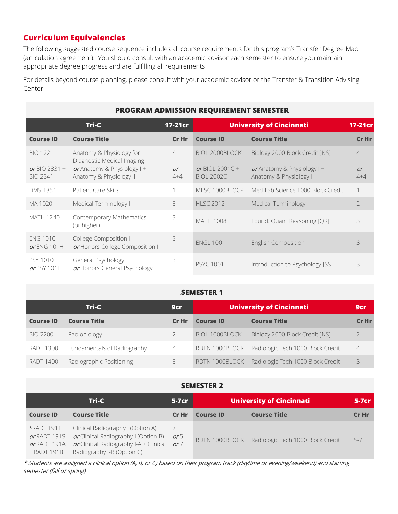# **Curriculum Equivalencies**

The following suggested course sequence includes all course requirements for this program's Transfer Degree Map (articulation agreement). You should consult with an academic advisor each semester to ensure you maintain appropriate degree progress and are fulfilling all requirements.

For details beyond course planning, please consult with your academic advisor or the Transfer & Transition Advising Center.

| <b>PROGRAM ADMISSION REQUIREMENT SEMESTER</b> |                                                          |                |                                      |                                                          |                |  |
|-----------------------------------------------|----------------------------------------------------------|----------------|--------------------------------------|----------------------------------------------------------|----------------|--|
| Tri-C<br>17-21cr                              |                                                          |                | <b>University of Cincinnati</b>      | 17-21cr                                                  |                |  |
| <b>Course ID</b>                              | <b>Course Title</b>                                      | Cr Hr          | <b>Course ID</b>                     | <b>Course Title</b>                                      | Cr Hr          |  |
| <b>BIO 1221</b>                               | Anatomy & Physiology for<br>Diagnostic Medical Imaging   | $\overline{4}$ | BIOL 2000BLOCK                       | Biology 2000 Block Credit [NS]                           | $\overline{4}$ |  |
| or BIO 2331 +<br><b>BIO 2341</b>              | or Anatomy & Physiology $  +$<br>Anatomy & Physiology II | or<br>$4 + 4$  | or BIOL 2001C +<br><b>BIOL 2002C</b> | or Anatomy & Physiology $1 +$<br>Anatomy & Physiology II | or<br>$4 + 4$  |  |
| <b>DMS 1351</b>                               | Patient Care Skills                                      |                | MLSC 1000BLOCK                       | Med Lab Science 1000 Block Credit                        | 1              |  |
| MA 1020                                       | Medical Terminology I                                    | 3              | <b>HLSC 2012</b>                     | Medical Terminology                                      | $\overline{2}$ |  |
| <b>MATH 1240</b>                              | Contemporary Mathematics<br>(or higher)                  | 3              | <b>MATH 1008</b>                     | Found. Quant Reasoning [QR]                              | 3              |  |
| <b>ENG 1010</b><br>or ENG 101H                | College Composition I<br>or Honors College Composition I | 3              | <b>ENGL 1001</b>                     | <b>English Composition</b>                               | 3              |  |
| PSY 1010<br>$or$ PSY 101H                     | General Psychology<br>or Honors General Psychology       | 3              | <b>PSYC 1001</b>                     | Introduction to Psychology [SS]                          | 3              |  |

#### **SEMESTER 1**

|                  | Tri-C                       | 9cr   | <b>University of Cincinnati</b> |                                   | 9cr            |
|------------------|-----------------------------|-------|---------------------------------|-----------------------------------|----------------|
| <b>Course ID</b> | <b>Course Title</b>         | Cr Hr | <b>Course ID</b>                | <b>Course Title</b>               | Cr Hr          |
| <b>BIO 2200</b>  | Radiobiology                |       | BIOL 1000BLOCK                  | Biology 2000 Block Credit [NS]    | $\overline{2}$ |
| <b>RADT 1300</b> | Fundamentals of Radiography | 4     | RDTN 1000BLOCK                  | Radiologic Tech 1000 Block Credit | $\overline{4}$ |
| <b>RADT 1400</b> | Radiographic Positioning    | 3     | RDTN 1000BLOCK                  | Radiologic Tech 1000 Block Credit | 3              |

## **SEMESTER 2**

| Tri-C                                       |                                                                                                                                                                            | $5-7cr$ | <b>University of Cincinnati</b> |                                                  | $5-7cr$ |
|---------------------------------------------|----------------------------------------------------------------------------------------------------------------------------------------------------------------------------|---------|---------------------------------|--------------------------------------------------|---------|
| <b>Course ID</b>                            | <b>Course Title</b>                                                                                                                                                        | Cr Hr   | <b>Course ID</b>                | <b>Course Title</b>                              | Cr Hr   |
| or RADT 1915<br>or RADT 191A<br>+ RADT 191B | <b>*RADT 1911</b> Clinical Radiography I (Option A)<br>or Clinical Radiography I (Option B)<br>or Clinical Radiography I-A + Clinical $or 7$<br>Radiography I-B (Option C) | or 5    |                                 | RDTN 1000BLOCK Radiologic Tech 1000 Block Credit | $5 - 7$ |

\* Students are assigned a clinical option (A, B, or C) based on their program track (daytime or evening/weekend) and starting semester (fall or spring).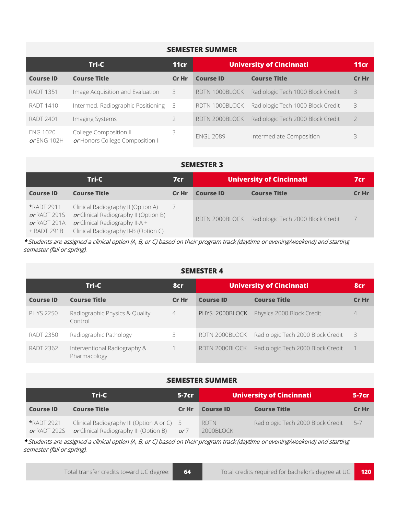### **SEMESTER SUMMER**

| Tri-C                          |                                                            | 11cr  | <b>University of Cincinnati</b> | 11cr                              |       |
|--------------------------------|------------------------------------------------------------|-------|---------------------------------|-----------------------------------|-------|
| <b>Course ID</b>               | <b>Course Title</b>                                        | Cr Hr | <b>Course ID</b>                | <b>Course Title</b>               | Cr Hr |
| <b>RADT 1351</b>               | Image Acquisition and Evaluation                           | 3     | RDTN 1000BLOCK                  | Radiologic Tech 1000 Block Credit | 3     |
| RADT 1410                      | Intermed. Radiographic Positioning                         | - 3   | RDTN 1000BLOCK                  | Radiologic Tech 1000 Block Credit | 3     |
| <b>RADT 2401</b>               | Imaging Systems                                            |       | RDTN 2000BLOCK                  | Radiologic Tech 2000 Block Credit |       |
| <b>ENG 1020</b><br>or ENG 102H | College Composition II<br>or Honors College Composition II | 3     | <b>ENGL 2089</b>                | Intermediate Composition          | 3     |

#### **SEMESTER 3**

| Tri-C                                                            |                                                                                                                                                         | 7cr   | <b>University of Cincinnati</b> | 7cr                               |       |
|------------------------------------------------------------------|---------------------------------------------------------------------------------------------------------------------------------------------------------|-------|---------------------------------|-----------------------------------|-------|
| <b>Course ID</b>                                                 | <b>Course Title</b>                                                                                                                                     | Cr Hr | <b>Course ID</b>                | <b>Course Title</b>               | Cr Hr |
| <b>*RADT 2911</b><br>or RADT 291S<br>or RADT 291A<br>+ RADT 291B | Clinical Radiography II (Option A)<br>or Clinical Radiography II (Option B)<br>or Clinical Radiography II-A $+$<br>Clinical Radiography II-B (Option C) |       | RDTN 2000BLOCK                  | Radiologic Tech 2000 Block Credit |       |

\* Students are assigned a clinical option (A, B, or C) based on their program track (daytime or evening/weekend) and starting semester (fall or spring).

#### **SEMESTER 4**

| Tri-C<br>8cr     |                                              |                | <b>University of Cincinnati</b> |                                   | 8cr            |
|------------------|----------------------------------------------|----------------|---------------------------------|-----------------------------------|----------------|
| <b>Course ID</b> | <b>Course Title</b>                          | Cr Hr          | <b>Course ID</b>                | <b>Course Title</b>               | Cr Hr          |
| <b>PHYS 2250</b> | Radiographic Physics & Quality<br>Control    | $\overline{4}$ | PHYS 2000BLOCK                  | Physics 2000 Block Credit         | $\overline{4}$ |
| <b>RADT 2350</b> | Radiographic Pathology                       | 3.             | RDTN 2000BLOCK                  | Radiologic Tech 2000 Block Credit | - 3            |
| <b>RADT 2362</b> | Interventional Radiography &<br>Pharmacology |                | RDTN 2000BLOCK                  | Radiologic Tech 2000 Block Credit |                |

#### **SEMESTER SUMMER**

| Tri-C<br>$5-7$ cr                 |                                                                                      | <b>University of Cincinnati</b> |                          | $5-7cr$                           |         |
|-----------------------------------|--------------------------------------------------------------------------------------|---------------------------------|--------------------------|-----------------------------------|---------|
| <b>Course ID</b>                  | <b>Course Title</b>                                                                  | Cr Hr                           | <b>Course ID</b>         | <b>Course Title</b>               | Cr Hr   |
| <b>*RADT 2921</b><br>or RADT 292S | Clinical Radiography III (Option A or C) 5<br>or Clinical Radiography III (Option B) | or 7                            | <b>RDTN</b><br>2000BLOCK | Radiologic Tech 2000 Block Credit | $5 - 7$ |

\* Students are assigned a clinical option (A, B, or C) based on their program track (daytime or evening/weekend) and starting semester (fall or spring).